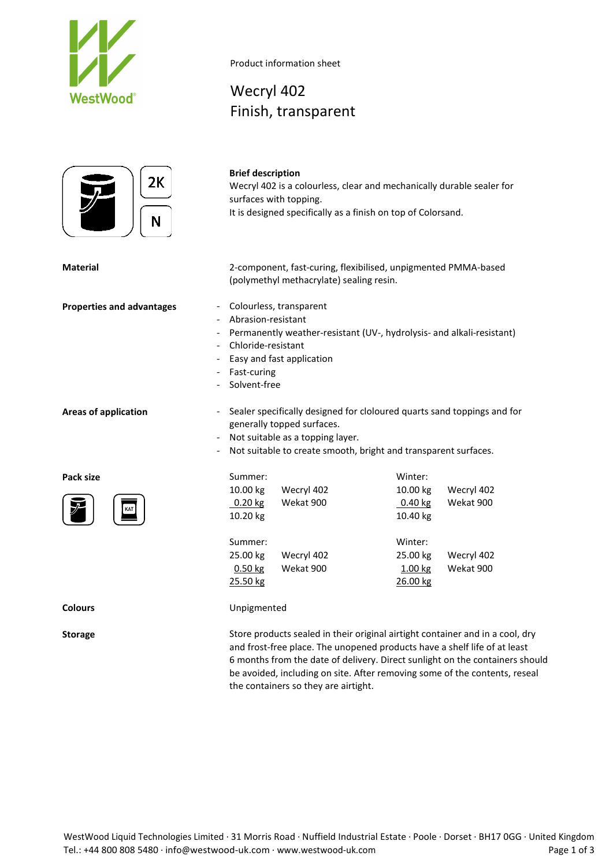



# Product information sheet

# Wecryl 402 Finish, transparent

|                                  | Wecryl 402 is a colourless, clear and mechanically durable sealer for<br>surfaces with topping.<br>It is designed specifically as a finish on top of Colorsand. |
|----------------------------------|-----------------------------------------------------------------------------------------------------------------------------------------------------------------|
| Material                         | 2-component, fast-curing, flexibilised, unpigmented PMMA-based<br>(polymethyl methacrylate) sealing resin.                                                      |
| <b>Properties and advantages</b> | Colourless, transparent<br>$\overline{\phantom{a}}$<br>Abrasion-resistant<br>$\overline{a}$                                                                     |

- Permanently weather-resistant (UV-, hydrolysis- and alkali-resistant)

- Not suitable to create smooth, bright and transparent surfaces.

Chloride-resistant

**Brief description**

- Easy and fast application

generally topped surfaces. - Not suitable as a topping layer.

- Fast-curing
- Solvent-free

# Areas of application **Areas of application** - Sealer specifically designed for cloloured quarts sand toppings and for

Pack size **Summer:** Summer: **Example 2018** Winter:



| 10.00 kg | Wecryl 402 | 10.00 kg  | Wecryl 402 |
|----------|------------|-----------|------------|
| 0.20 kg  | Wekat 900  | $0.40$ kg | Wekat 900  |
| 10.20 kg |            | 10.40 kg  |            |
|          |            |           |            |
|          |            |           |            |
| Summer:  |            | Winter:   |            |
| 25.00 kg | Wecryl 402 | 25.00 kg  | Wecryl 402 |

1.00 kg Wekat 900 25.50 kg 26.00 kg

**Colours** Unpigmented

**Storage** Store products sealed in their original airtight container and in a cool, dry and frost-free place. The unopened products have a shelf life of at least 6 months from the date of delivery. Direct sunlight on the containers should be avoided, including on site. After removing some of the contents, reseal the containers so they are airtight.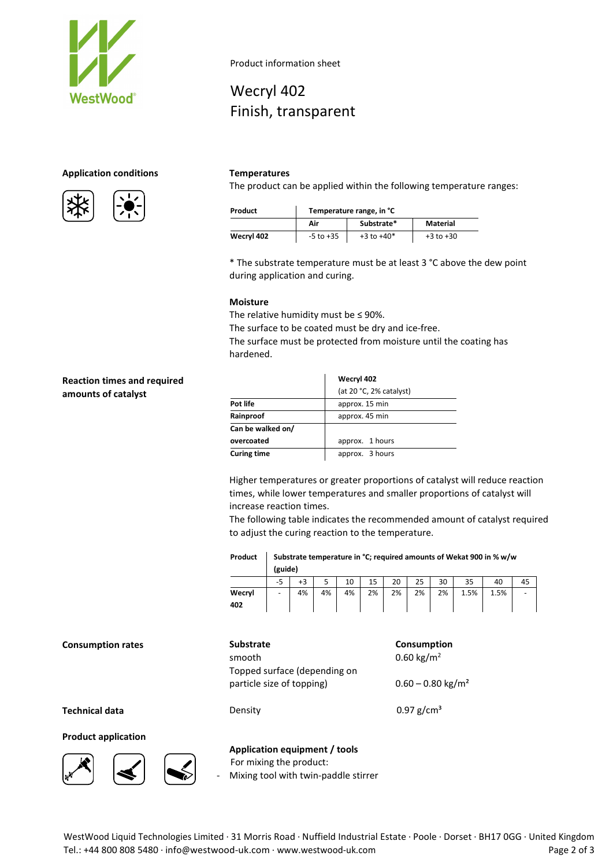

# **Application conditions Temperatures**





## Product information sheet

# Wecryl 402 Finish, transparent

The product can be applied within the following temperature ranges:

| Product    | Temperature range, in °C |                |               |  |  |  |
|------------|--------------------------|----------------|---------------|--|--|--|
|            | Air                      | Substrate*     | Material      |  |  |  |
| Wecryl 402 | $-5$ to $+35$            | $+3$ to $+40*$ | $+3$ to $+30$ |  |  |  |

\* The substrate temperature must be at least 3 °C above the dew point during application and curing.

### **Moisture**

The relative humidity must be ≤ 90%.

The surface to be coated must be dry and ice-free.

The surface must be protected from moisture until the coating has hardened.

## **Reaction times and required amounts of catalyst**

|                    | Wecryl 402<br>(at 20 °C, 2% catalyst) |  |  |  |
|--------------------|---------------------------------------|--|--|--|
|                    |                                       |  |  |  |
| Pot life           | approx. 15 min                        |  |  |  |
| Rainproof          | approx. 45 min                        |  |  |  |
| Can be walked on/  |                                       |  |  |  |
| overcoated         | approx. 1 hours                       |  |  |  |
| <b>Curing time</b> | approx. 3 hours                       |  |  |  |

Higher temperatures or greater proportions of catalyst will reduce reaction times, while lower temperatures and smaller proportions of catalyst will increase reaction times.

The following table indicates the recommended amount of catalyst required to adjust the curing reaction to the temperature.

| Product | Substrate temperature in °C; required amounts of Wekat 900 in % w/w<br>(guide) |    |    |    |    |    |    |    |      |      |    |
|---------|--------------------------------------------------------------------------------|----|----|----|----|----|----|----|------|------|----|
|         |                                                                                |    |    | 10 | 15 | 20 | 25 | 30 |      | 40   | 45 |
| Wecryl  | ۰                                                                              | 4% | 4% | 4% | 2% | 2% | 2% | 2% | 1.5% | 1.5% |    |

| .<br>402                     |                                 |  |
|------------------------------|---------------------------------|--|
| <b>Substrate</b>             | Consumption                     |  |
| smooth                       | 0.60 kg/m <sup>2</sup>          |  |
| Topped surface (depending on |                                 |  |
| particle size of topping)    | $0.60 - 0.80$ kg/m <sup>2</sup> |  |

**Technical data** Density **Density Density Density Density Density Density Density Density Density Density Density Density Density Density Density Density Density Density Density Densit** 

#### **Product application**

**Consumption rates** 





**Application equipment / tools** For mixing the product: Mixing tool with twin-paddle stirrer

WestWood Liquid Technologies Limited · 31 Morris Road · Nuffield Industrial Estate · Poole · Dorset · BH17 0GG · United Kingdom Tel.: +44 800 808 5480 · info@westwood-uk.com · www.westwood-uk.com example are example as a Page 2 of 3